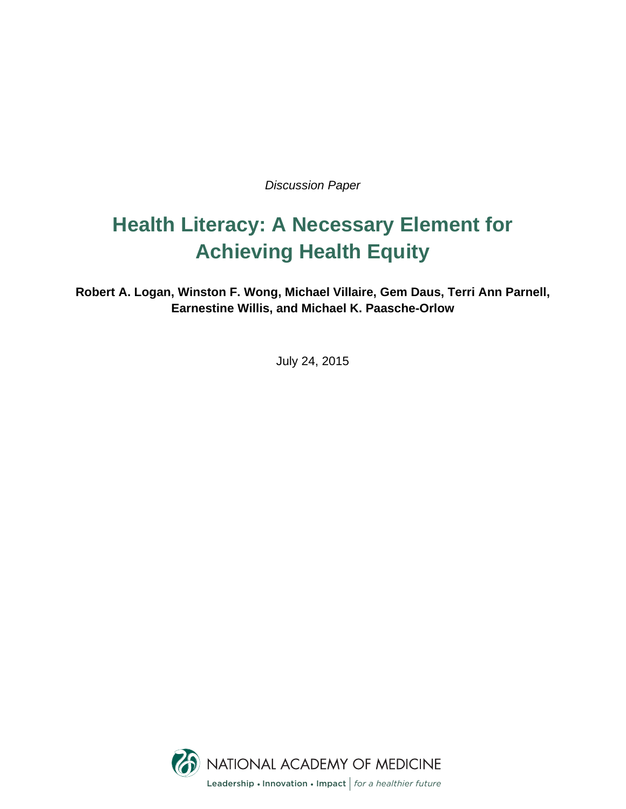*Discussion Paper*

# **Health Literacy: A Necessary Element for Achieving Health Equity**

**Robert A. Logan, Winston F. Wong, Michael Villaire, Gem Daus, Terri Ann Parnell, Earnestine Willis, and Michael K. Paasche-Orlow** 

July 24, 2015

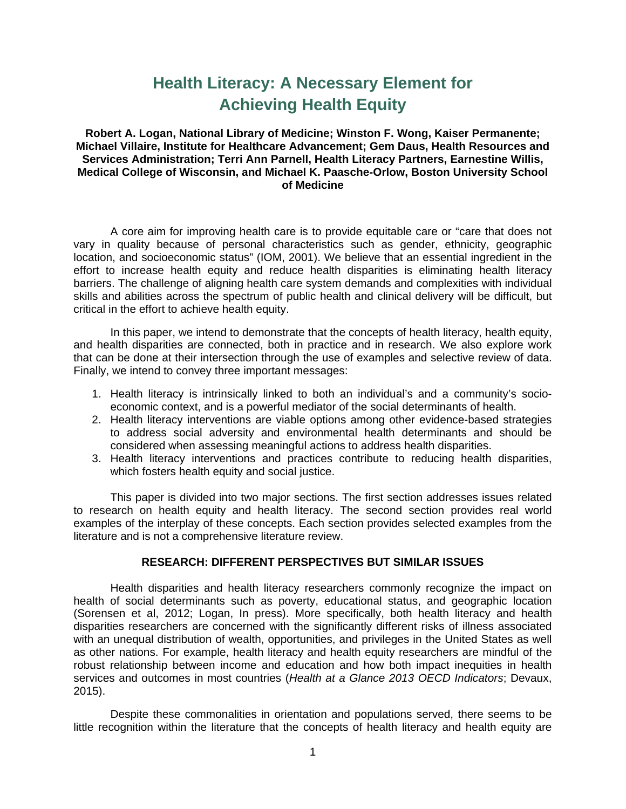# **Health Literacy: A Necessary Element for Achieving Health Equity**

**Robert A. Logan, National Library of Medicine; Winston F. Wong, Kaiser Permanente; Michael Villaire, Institute for Healthcare Advancement; Gem Daus, Health Resources and Services Administration; Terri Ann Parnell, Health Literacy Partners, Earnestine Willis, Medical College of Wisconsin, and Michael K. Paasche-Orlow, Boston University School of Medicine** 

A core aim for improving health care is to provide equitable care or "care that does not vary in quality because of personal characteristics such as gender, ethnicity, geographic location, and socioeconomic status" (IOM, 2001). We believe that an essential ingredient in the effort to increase health equity and reduce health disparities is eliminating health literacy barriers. The challenge of aligning health care system demands and complexities with individual skills and abilities across the spectrum of public health and clinical delivery will be difficult, but critical in the effort to achieve health equity.

In this paper, we intend to demonstrate that the concepts of health literacy, health equity, and health disparities are connected, both in practice and in research. We also explore work that can be done at their intersection through the use of examples and selective review of data. Finally, we intend to convey three important messages:

- 1. Health literacy is intrinsically linked to both an individual's and a community's socioeconomic context, and is a powerful mediator of the social determinants of health.
- 2. Health literacy interventions are viable options among other evidence-based strategies to address social adversity and environmental health determinants and should be considered when assessing meaningful actions to address health disparities.
- 3. Health literacy interventions and practices contribute to reducing health disparities, which fosters health equity and social justice.

This paper is divided into two major sections. The first section addresses issues related to research on health equity and health literacy. The second section provides real world examples of the interplay of these concepts. Each section provides selected examples from the literature and is not a comprehensive literature review.

#### **RESEARCH: DIFFERENT PERSPECTIVES BUT SIMILAR ISSUES**

Health disparities and health literacy researchers commonly recognize the impact on health of social determinants such as poverty, educational status, and geographic location (Sorensen et al, 2012; Logan, In press). More specifically, both health literacy and health disparities researchers are concerned with the significantly different risks of illness associated with an unequal distribution of wealth, opportunities, and privileges in the United States as well as other nations. For example, health literacy and health equity researchers are mindful of the robust relationship between income and education and how both impact inequities in health services and outcomes in most countries (*Health at a Glance 2013 OECD Indicators*; Devaux, 2015).

Despite these commonalities in orientation and populations served, there seems to be little recognition within the literature that the concepts of health literacy and health equity are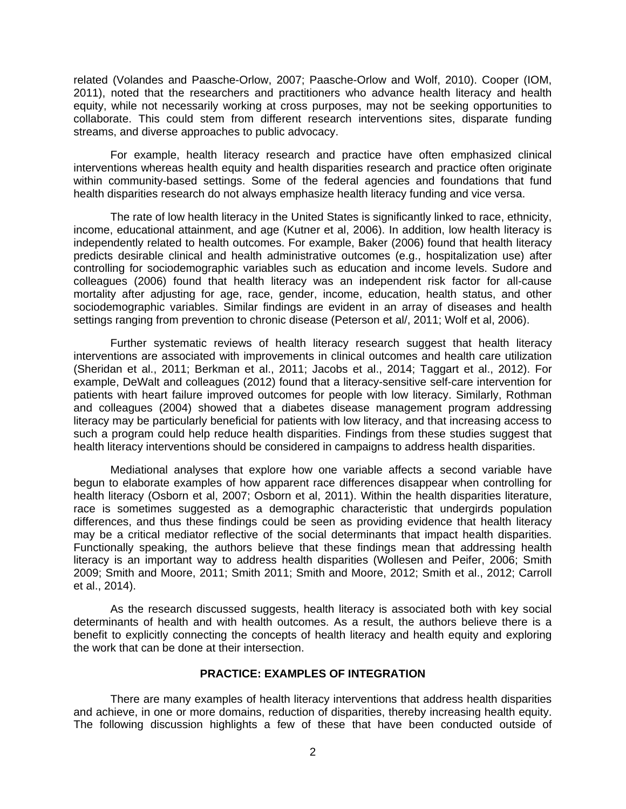related (Volandes and Paasche-Orlow, 2007; Paasche-Orlow and Wolf, 2010). Cooper (IOM, 2011), noted that the researchers and practitioners who advance health literacy and health equity, while not necessarily working at cross purposes, may not be seeking opportunities to collaborate. This could stem from different research interventions sites, disparate funding streams, and diverse approaches to public advocacy.

For example, health literacy research and practice have often emphasized clinical interventions whereas health equity and health disparities research and practice often originate within community-based settings. Some of the federal agencies and foundations that fund health disparities research do not always emphasize health literacy funding and vice versa.

The rate of low health literacy in the United States is significantly linked to race, ethnicity, income, educational attainment, and age (Kutner et al, 2006). In addition, low health literacy is independently related to health outcomes. For example, Baker (2006) found that health literacy predicts desirable clinical and health administrative outcomes (e.g., hospitalization use) after controlling for sociodemographic variables such as education and income levels. Sudore and colleagues (2006) found that health literacy was an independent risk factor for all-cause mortality after adjusting for age, race, gender, income, education, health status, and other sociodemographic variables. Similar findings are evident in an array of diseases and health settings ranging from prevention to chronic disease (Peterson et al/, 2011; Wolf et al, 2006).

Further systematic reviews of health literacy research suggest that health literacy interventions are associated with improvements in clinical outcomes and health care utilization (Sheridan et al., 2011; Berkman et al., 2011; Jacobs et al., 2014; Taggart et al., 2012). For example, DeWalt and colleagues (2012) found that a literacy-sensitive self-care intervention for patients with heart failure improved outcomes for people with low literacy. Similarly, Rothman and colleagues (2004) showed that a diabetes disease management program addressing literacy may be particularly beneficial for patients with low literacy, and that increasing access to such a program could help reduce health disparities. Findings from these studies suggest that health literacy interventions should be considered in campaigns to address health disparities.

Mediational analyses that explore how one variable affects a second variable have begun to elaborate examples of how apparent race differences disappear when controlling for health literacy (Osborn et al, 2007; Osborn et al, 2011). Within the health disparities literature, race is sometimes suggested as a demographic characteristic that undergirds population differences, and thus these findings could be seen as providing evidence that health literacy may be a critical mediator reflective of the social determinants that impact health disparities. Functionally speaking, the authors believe that these findings mean that addressing health literacy is an important way to address health disparities (Wollesen and Peifer, 2006; Smith 2009; Smith and Moore, 2011; Smith 2011; Smith and Moore, 2012; Smith et al., 2012; Carroll et al., 2014).

As the research discussed suggests, health literacy is associated both with key social determinants of health and with health outcomes. As a result, the authors believe there is a benefit to explicitly connecting the concepts of health literacy and health equity and exploring the work that can be done at their intersection.

## **PRACTICE: EXAMPLES OF INTEGRATION**

There are many examples of health literacy interventions that address health disparities and achieve, in one or more domains, reduction of disparities, thereby increasing health equity. The following discussion highlights a few of these that have been conducted outside of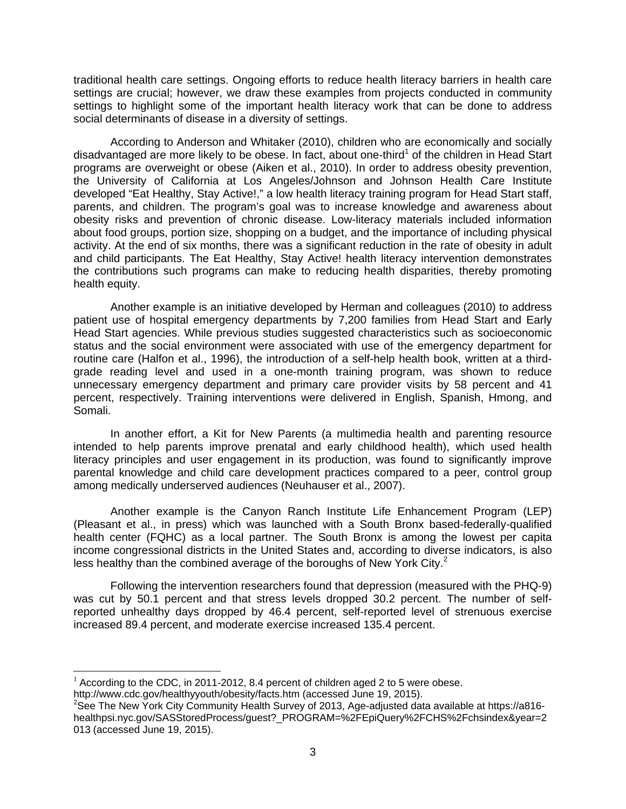traditional health care settings. Ongoing efforts to reduce health literacy barriers in health care settings are crucial; however, we draw these examples from projects conducted in community settings to highlight some of the important health literacy work that can be done to address social determinants of disease in a diversity of settings.

According to Anderson and Whitaker (2010), children who are economically and socially disadvantaged are more likely to be obese. In fact, about one-third<sup>1</sup> of the children in Head Start programs are overweight or obese (Aiken et al., 2010). In order to address obesity prevention, the University of California at Los Angeles/Johnson and Johnson Health Care Institute developed "Eat Healthy, Stay Active!," a low health literacy training program for Head Start staff, parents, and children. The program's goal was to increase knowledge and awareness about obesity risks and prevention of chronic disease. Low-literacy materials included information about food groups, portion size, shopping on a budget, and the importance of including physical activity. At the end of six months, there was a significant reduction in the rate of obesity in adult and child participants. The Eat Healthy, Stay Active! health literacy intervention demonstrates the contributions such programs can make to reducing health disparities, thereby promoting health equity.

Another example is an initiative developed by Herman and colleagues (2010) to address patient use of hospital emergency departments by 7,200 families from Head Start and Early Head Start agencies. While previous studies suggested characteristics such as socioeconomic status and the social environment were associated with use of the emergency department for routine care (Halfon et al., 1996), the introduction of a self-help health book, written at a thirdgrade reading level and used in a one-month training program, was shown to reduce unnecessary emergency department and primary care provider visits by 58 percent and 41 percent, respectively. Training interventions were delivered in English, Spanish, Hmong, and Somali.

In another effort, a Kit for New Parents (a multimedia health and parenting resource intended to help parents improve prenatal and early childhood health), which used health literacy principles and user engagement in its production, was found to significantly improve parental knowledge and child care development practices compared to a peer, control group among medically underserved audiences (Neuhauser et al., 2007).

Another example is the Canyon Ranch Institute Life Enhancement Program (LEP) (Pleasant et al., in press) which was launched with a South Bronx based-federally-qualified health center (FQHC) as a local partner. The South Bronx is among the lowest per capita income congressional districts in the United States and, according to diverse indicators, is also less healthy than the combined average of the boroughs of New York City. $^2$ 

Following the intervention researchers found that depression (measured with the PHQ-9) was cut by 50.1 percent and that stress levels dropped 30.2 percent. The number of selfreported unhealthy days dropped by 46.4 percent, self-reported level of strenuous exercise increased 89.4 percent, and moderate exercise increased 135.4 percent.

 $<sup>1</sup>$  According to the CDC, in 2011-2012, 8.4 percent of children aged 2 to 5 were obese.</sup>

http://www.cdc.gov/healthyyouth/obesity/facts.htm (accessed June 19, 2015).

 $2^2$ See The New York City Community Health Survey of 2013, Age-adjusted data available at https://a816healthpsi.nyc.gov/SASStoredProcess/guest?\_PROGRAM=%2FEpiQuery%2FCHS%2Fchsindex&year=2 013 (accessed June 19, 2015).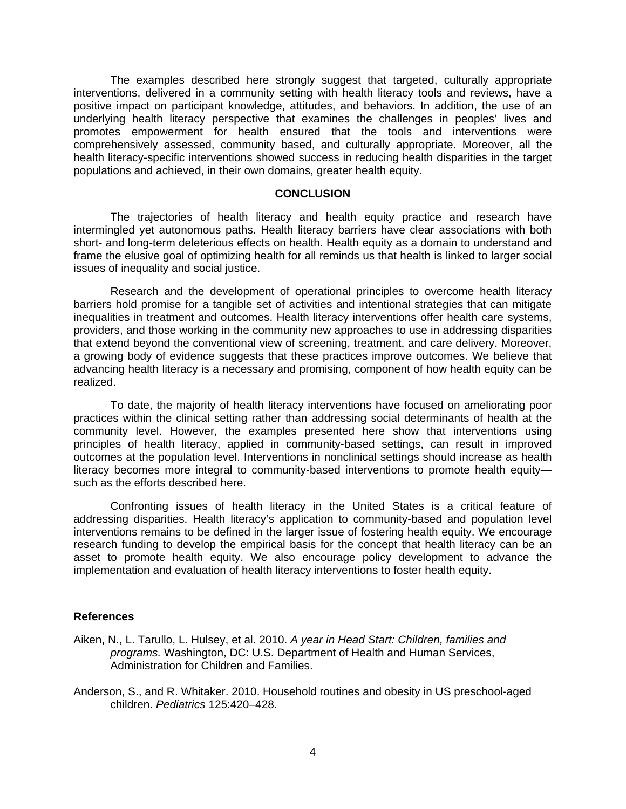The examples described here strongly suggest that targeted, culturally appropriate interventions, delivered in a community setting with health literacy tools and reviews, have a positive impact on participant knowledge, attitudes, and behaviors. In addition, the use of an underlying health literacy perspective that examines the challenges in peoples' lives and promotes empowerment for health ensured that the tools and interventions were comprehensively assessed, community based, and culturally appropriate. Moreover, all the health literacy-specific interventions showed success in reducing health disparities in the target populations and achieved, in their own domains, greater health equity.

#### **CONCLUSION**

The trajectories of health literacy and health equity practice and research have intermingled yet autonomous paths. Health literacy barriers have clear associations with both short- and long-term deleterious effects on health. Health equity as a domain to understand and frame the elusive goal of optimizing health for all reminds us that health is linked to larger social issues of inequality and social justice.

Research and the development of operational principles to overcome health literacy barriers hold promise for a tangible set of activities and intentional strategies that can mitigate inequalities in treatment and outcomes. Health literacy interventions offer health care systems, providers, and those working in the community new approaches to use in addressing disparities that extend beyond the conventional view of screening, treatment, and care delivery. Moreover, a growing body of evidence suggests that these practices improve outcomes. We believe that advancing health literacy is a necessary and promising, component of how health equity can be realized.

To date, the majority of health literacy interventions have focused on ameliorating poor practices within the clinical setting rather than addressing social determinants of health at the community level. However, the examples presented here show that interventions using principles of health literacy, applied in community-based settings, can result in improved outcomes at the population level. Interventions in nonclinical settings should increase as health literacy becomes more integral to community-based interventions to promote health equity such as the efforts described here.

Confronting issues of health literacy in the United States is a critical feature of addressing disparities. Health literacy's application to community-based and population level interventions remains to be defined in the larger issue of fostering health equity. We encourage research funding to develop the empirical basis for the concept that health literacy can be an asset to promote health equity. We also encourage policy development to advance the implementation and evaluation of health literacy interventions to foster health equity.

#### **References**

- Aiken, N., L. Tarullo, L. Hulsey, et al. 2010. *A year in Head Start: Children, families and programs.* Washington, DC: U.S. Department of Health and Human Services, Administration for Children and Families.
- Anderson, S., and R. Whitaker. 2010. Household routines and obesity in US preschool-aged children. *Pediatrics* 125:420–428.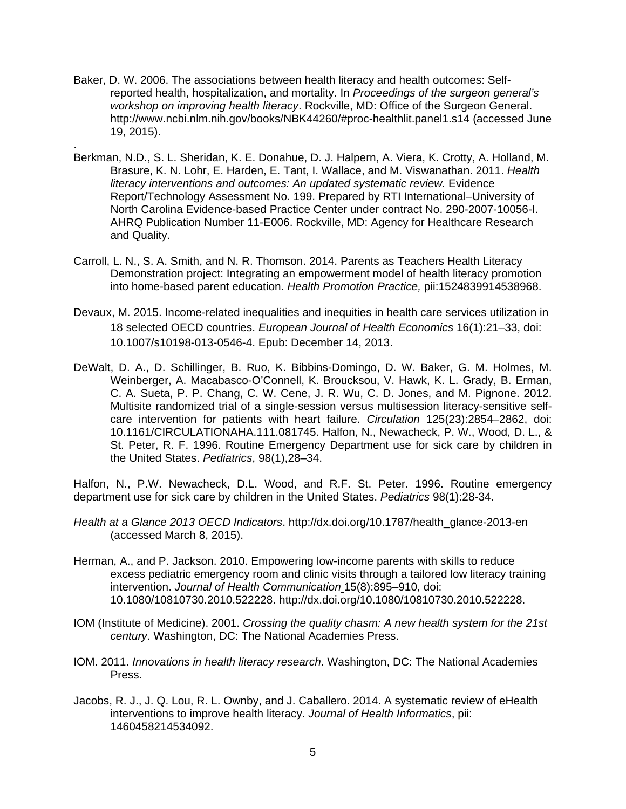Baker, D. W. 2006. The associations between health literacy and health outcomes: Selfreported health, hospitalization, and mortality. In *Proceedings of the surgeon general's workshop on improving health literacy*. Rockville, MD: Office of the Surgeon General. http://www.ncbi.nlm.nih.gov/books/NBK44260/#proc-healthlit.panel1.s14 (accessed June 19, 2015).

.

- Berkman, N.D., S. L. Sheridan, K. E. Donahue, D. J. Halpern, A. Viera, K. Crotty, A. Holland, M. Brasure, K. N. Lohr, E. Harden, E. Tant, I. Wallace, and M. Viswanathan. 2011. *Health literacy interventions and outcomes: An updated systematic review.* Evidence Report/Technology Assessment No. 199. Prepared by RTI International–University of North Carolina Evidence-based Practice Center under contract No. 290-2007-10056-I. AHRQ Publication Number 11-E006. Rockville, MD: Agency for Healthcare Research and Quality.
- Carroll, L. N., S. A. Smith, and N. R. Thomson. 2014. Parents as Teachers Health Literacy Demonstration project: Integrating an empowerment model of health literacy promotion into home-based parent education. *Health Promotion Practice,* pii:1524839914538968.
- Devaux, M. 2015. Income-related inequalities and inequities in health care services utilization in 18 selected OECD countries. *European Journal of Health Economics* 16(1):21–33, doi: 10.1007/s10198-013-0546-4. Epub: December 14, 2013.
- DeWalt, D. A., D. Schillinger, B. Ruo, K. Bibbins-Domingo, D. W. Baker, G. M. Holmes, M. Weinberger, A. Macabasco-O'Connell, K. Broucksou, V. Hawk, K. L. Grady, B. Erman, C. A. Sueta, P. P. Chang, C. W. Cene, J. R. Wu, C. D. Jones, and M. Pignone. 2012. Multisite randomized trial of a single-session versus multisession literacy-sensitive selfcare intervention for patients with heart failure. *Circulation* 125(23):2854–2862, doi: 10.1161/CIRCULATIONAHA.111.081745. Halfon, N., Newacheck, P. W., Wood, D. L., & St. Peter, R. F. 1996. Routine Emergency Department use for sick care by children in the United States. *Pediatrics*, 98(1),28–34.

Halfon, N., P.W. Newacheck, D.L. Wood, and R.F. St. Peter. 1996. Routine emergency department use for sick care by children in the United States. *Pediatrics* 98(1):28-34.

- *Health at a Glance 2013 OECD Indicators*. http://dx.doi.org/10.1787/health\_glance-2013-en (accessed March 8, 2015).
- Herman, A., and P. Jackson. 2010. Empowering low-income parents with skills to reduce excess pediatric emergency room and clinic visits through a tailored low literacy training intervention. *Journal of Health Communication* 15(8):895–910, doi: 10.1080/10810730.2010.522228. http://dx.doi.org/10.1080/10810730.2010.522228.
- IOM (Institute of Medicine). 2001. *Crossing the quality chasm: A new health system for the 21st century*. Washington, DC: The National Academies Press.
- IOM. 2011. *Innovations in health literacy research*. Washington, DC: The National Academies Press.
- Jacobs, R. J., J. Q. Lou, R. L. Ownby, and J. Caballero. 2014. A systematic review of eHealth interventions to improve health literacy. *Journal of Health Informatics*, pii: 1460458214534092.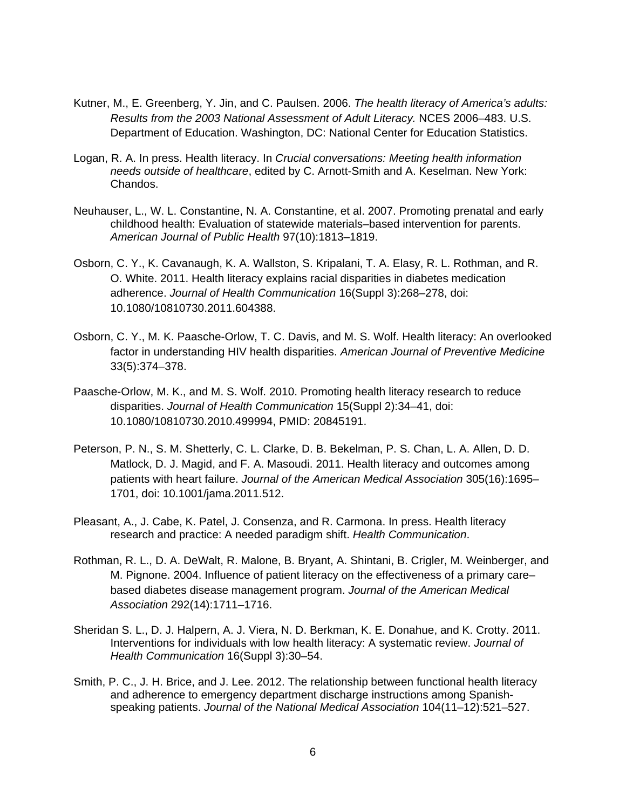- Kutner, M., E. Greenberg, Y. Jin, and C. Paulsen. 2006. *The health literacy of America's adults: Results from the 2003 National Assessment of Adult Literacy.* NCES 2006–483. U.S. Department of Education. Washington, DC: National Center for Education Statistics.
- Logan, R. A. In press. Health literacy. In *Crucial conversations: Meeting health information needs outside of healthcare*, edited by C. Arnott-Smith and A. Keselman. New York: Chandos.
- Neuhauser, L., W. L. Constantine, N. A. Constantine, et al. 2007. Promoting prenatal and early childhood health: Evaluation of statewide materials–based intervention for parents. *American Journal of Public Health* 97(10):1813–1819.
- Osborn, C. Y., K. Cavanaugh, K. A. Wallston, S. Kripalani, T. A. Elasy, R. L. Rothman, and R. O. White. 2011. Health literacy explains racial disparities in diabetes medication adherence. *Journal of Health Communication* 16(Suppl 3):268–278, doi: 10.1080/10810730.2011.604388.
- Osborn, C. Y., M. K. Paasche-Orlow, T. C. Davis, and M. S. Wolf. Health literacy: An overlooked factor in understanding HIV health disparities. *American Journal of Preventive Medicine* 33(5):374–378.
- Paasche-Orlow, M. K., and M. S. Wolf. 2010. Promoting health literacy research to reduce disparities. *Journal of Health Communication* 15(Suppl 2):34–41, doi: 10.1080/10810730.2010.499994, PMID: 20845191.
- Peterson, P. N., S. M. Shetterly, C. L. Clarke, D. B. Bekelman, P. S. Chan, L. A. Allen, D. D. Matlock, D. J. Magid, and F. A. Masoudi. 2011. Health literacy and outcomes among patients with heart failure. *Journal of the American Medical Association* 305(16):1695– 1701, doi: 10.1001/jama.2011.512.
- Pleasant, A., J. Cabe, K. Patel, J. Consenza, and R. Carmona. In press. Health literacy research and practice: A needed paradigm shift. *Health Communication*.
- Rothman, R. L., D. A. DeWalt, R. Malone, B. Bryant, A. Shintani, B. Crigler, M. Weinberger, and M. Pignone. 2004. Influence of patient literacy on the effectiveness of a primary care– based diabetes disease management program. *Journal of the American Medical Association* 292(14):1711–1716.
- Sheridan S. L., D. J. Halpern, A. J. Viera, N. D. Berkman, K. E. Donahue, and K. Crotty. 2011. Interventions for individuals with low health literacy: A systematic review. *Journal of Health Communication* 16(Suppl 3):30–54.
- Smith, P. C., J. H. Brice, and J. Lee. 2012. The relationship between functional health literacy and adherence to emergency department discharge instructions among Spanishspeaking patients. *Journal of the National Medical Association* 104(11–12):521–527.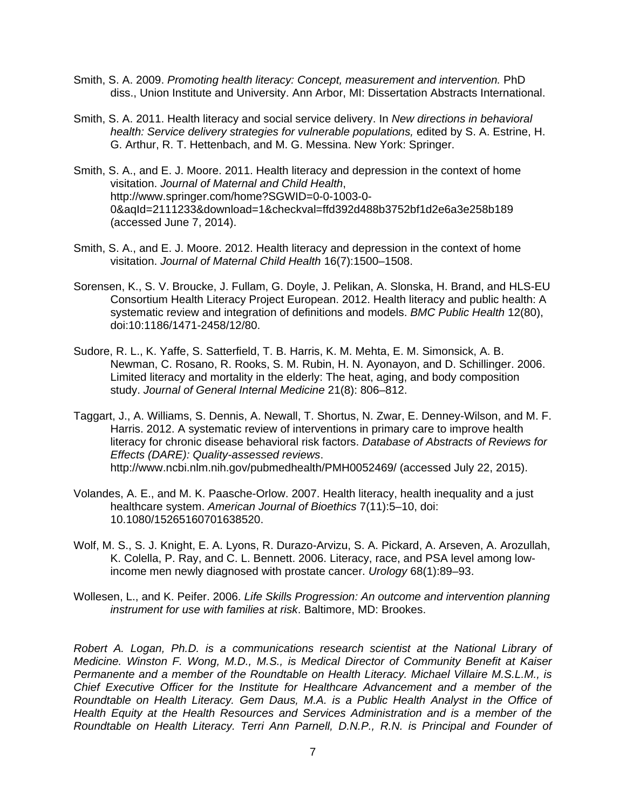- Smith, S. A. 2009. *Promoting health literacy: Concept, measurement and intervention.* PhD diss., Union Institute and University. Ann Arbor, MI: Dissertation Abstracts International.
- Smith, S. A. 2011. Health literacy and social service delivery. In *New directions in behavioral health: Service delivery strategies for vulnerable populations,* edited by S. A. Estrine, H. G. Arthur, R. T. Hettenbach, and M. G. Messina. New York: Springer.
- Smith, S. A., and E. J. Moore. 2011. Health literacy and depression in the context of home visitation. *Journal of Maternal and Child Health*, http://www.springer.com/home?SGWID=0-0-1003-0- 0&aqId=2111233&download=1&checkval=ffd392d488b3752bf1d2e6a3e258b189 (accessed June 7, 2014).
- Smith, S. A., and E. J. Moore. 2012. Health literacy and depression in the context of home visitation. *Journal of Maternal Child Health* 16(7):1500–1508.
- Sorensen, K., S. V. Broucke, J. Fullam, G. Doyle, J. Pelikan, A. Slonska, H. Brand, and HLS-EU Consortium Health Literacy Project European. 2012. Health literacy and public health: A systematic review and integration of definitions and models. *BMC Public Health* 12(80), doi:10:1186/1471-2458/12/80.
- Sudore, R. L., K. Yaffe, S. Satterfield, T. B. Harris, K. M. Mehta, E. M. Simonsick, A. B. Newman, C. Rosano, R. Rooks, S. M. Rubin, H. N. Ayonayon, and D. Schillinger. 2006. Limited literacy and mortality in the elderly: The heat, aging, and body composition study. *Journal of General Internal Medicine* 21(8): 806–812.
- Taggart, J., A. Williams, S. Dennis, A. Newall, T. Shortus, N. Zwar, E. Denney-Wilson, and M. F. Harris. 2012. A systematic review of interventions in primary care to improve health literacy for chronic disease behavioral risk factors. *Database of Abstracts of Reviews for Effects (DARE): Quality-assessed reviews*. http://www.ncbi.nlm.nih.gov/pubmedhealth/PMH0052469/ (accessed July 22, 2015).
- Volandes, A. E., and M. K. Paasche-Orlow. 2007. Health literacy, health inequality and a just healthcare system. *American Journal of Bioethics* 7(11):5–10, doi: 10.1080/15265160701638520.
- Wolf, M. S., S. J. Knight, E. A. Lyons, R. Durazo-Arvizu, S. A. Pickard, A. Arseven, A. Arozullah, K. Colella, P. Ray, and C. L. Bennett. 2006. Literacy, race, and PSA level among lowincome men newly diagnosed with prostate cancer. *Urology* 68(1):89–93.
- Wollesen, L., and K. Peifer. 2006. *Life Skills Progression: An outcome and intervention planning instrument for use with families at risk*. Baltimore, MD: Brookes.

*Robert A. Logan, Ph.D. is a communications research scientist at the National Library of Medicine. Winston F. Wong, M.D., M.S., is Medical Director of Community Benefit at Kaiser Permanente and a member of the Roundtable on Health Literacy. Michael Villaire M.S.L.M., is Chief Executive Officer for the Institute for Healthcare Advancement and a member of the Roundtable on Health Literacy. Gem Daus, M.A. is a Public Health Analyst in the Office of Health Equity at the Health Resources and Services Administration and is a member of the Roundtable on Health Literacy. Terri Ann Parnell, D.N.P., R.N. is Principal and Founder of*